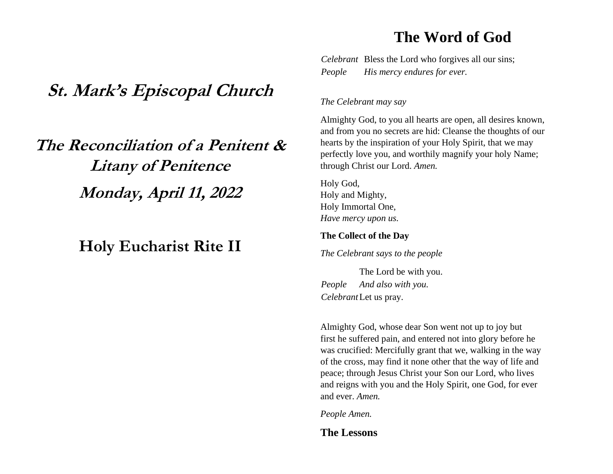# **St. Mark's Episcopal Church**

# **The Reconciliation of a Penitent & Litany of Penitence Monday, April 11, 2022**

## **Holy Eucharist Rite II**

### **The Word of God**

*Celebrant* Bless the Lord who forgives all our sins; *People His mercy endures for ever.*

#### *The Celebrant may say*

Almighty God, to you all hearts are open, all desires known, and from you no secrets are hid: Cleanse the thoughts of our hearts by the inspiration of your Holy Spirit, that we may perfectly love you, and worthily magnify your holy Name; through Christ our Lord. *Amen.*

Holy God, Holy and Mighty, Holy Immortal One, *Have mercy upon us.*

#### **The Collect of the Day**

*The Celebrant says to the people*

The Lord be with you. *People And also with you. Celebrant*Let us pray.

Almighty God, whose dear Son went not up to joy but first he suffered pain, and entered not into glory before he was crucified: Mercifully grant that we, walking in the way of the cross, may find it none other that the way of life and peace; through Jesus Christ your Son our Lord, who lives and reigns with you and the Holy Spirit, one God, for ever and ever. *Amen.*

*People Amen.*

**The Lessons**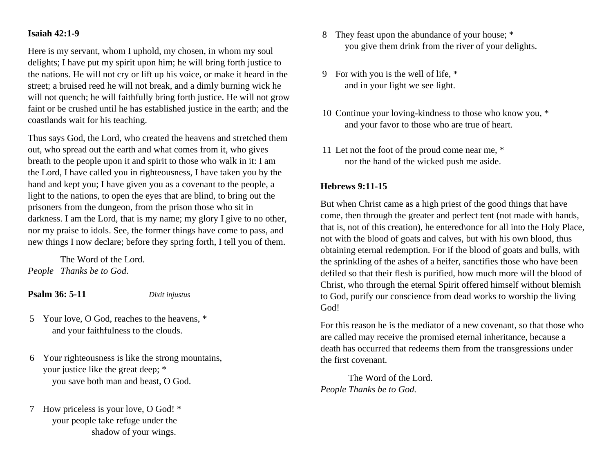#### **Isaiah 42:1-9**

Here is my servant, whom I uphold, my chosen, in whom my soul delights; I have put my spirit upon him; he will bring forth justice to the nations. He will not cry or lift up his voice, or make it heard in the street; a bruised reed he will not break, and a dimly burning wick he will not quench; he will faithfully bring forth justice. He will not grow faint or be crushed until he has established justice in the earth; and the coastlands wait for his teaching.

Thus says God, the Lord, who created the heavens and stretched them out, who spread out the earth and what comes from it, who gives breath to the people upon it and spirit to those who walk in it: I am the Lord, I have called you in righteousness, I have taken you by the hand and kept you; I have given you as a covenant to the people, a light to the nations, to open the eyes that are blind, to bring out the prisoners from the dungeon, from the prison those who sit in darkness. I am the Lord, that is my name; my glory I give to no other, nor my praise to idols. See, the former things have come to pass, and new things I now declare; before they spring forth, I tell you of them.

The Word of the Lord. *People Thanks be to God.*

**Psalm 36: 5-11** *Dixit injustus*

- 5 Your love, O God, reaches to the heavens, \* and your faithfulness to the clouds.
- 6 Your righteousness is like the strong mountains, your justice like the great deep; \* you save both man and beast, O God.
- 7 How priceless is your love, O God! \* your people take refuge under the shadow of your wings.
- 8 They feast upon the abundance of your house; \* you give them drink from the river of your delights.
- 9 For with you is the well of life, \* and in your light we see light.
- 10 Continue your loving-kindness to those who know you, \* and your favor to those who are true of heart.
- 11 Let not the foot of the proud come near me, \* nor the hand of the wicked push me aside.

#### **Hebrews 9:11-15**

But when Christ came as a high priest of the good things that have come, then through the greater and perfect tent (not made with hands, that is, not of this creation), he entered\once for all into the Holy Place, not with the blood of goats and calves, but with his own blood, thus obtaining eternal redemption. For if the blood of goats and bulls, with the sprinkling of the ashes of a heifer, sanctifies those who have been defiled so that their flesh is purified, how much more will the blood of Christ, who through the eternal Spirit offered himself without blemish to God, purify our conscience from dead works to worship the living God!

For this reason he is the mediator of a new covenant, so that those who are called may receive the promised eternal inheritance, because a death has occurred that redeems them from the transgressions under the first covenant.

 The Word of the Lord. *People Thanks be to God.*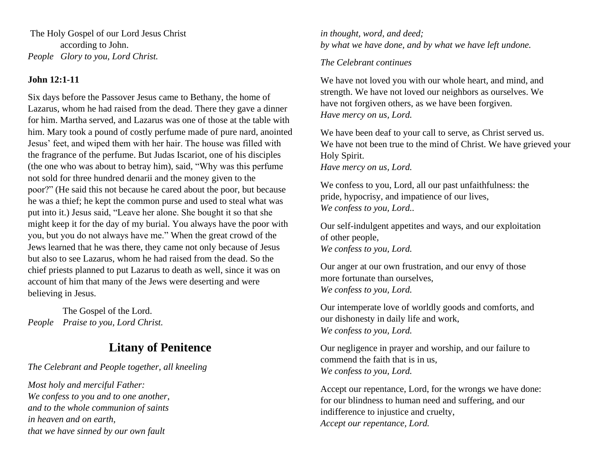The Holy Gospel of our Lord Jesus Christ according to John. *People Glory to you, Lord Christ.*

#### **John 12:1-11**

Six days before the Passover Jesus came to Bethany, the home of Lazarus, whom he had raised from the dead. There they gave a dinner for him. Martha served, and Lazarus was one of those at the table with him. Mary took a pound of costly perfume made of pure nard, anointed Jesus' feet, and wiped them with her hair. The house was filled with the fragrance of the perfume. But Judas Iscariot, one of his disciples (the one who was about to betray him), said, "Why was this perfume not sold for three hundred denarii and the money given to the poor?" (He said this not because he cared about the poor, but because he was a thief; he kept the common purse and used to steal what was put into it.) Jesus said, "Leave her alone. She bought it so that she might keep it for the day of my burial. You always have the poor with you, but you do not always have me." When the great crowd of the Jews learned that he was there, they came not only because of Jesus but also to see Lazarus, whom he had raised from the dead. So the chief priests planned to put Lazarus to death as well, since it was on account of him that many of the Jews were deserting and were believing in Jesus.

 The Gospel of the Lord. *People Praise to you, Lord Christ.* 

### **Litany of Penitence**

*The Celebrant and People together, all kneeling*

*Most holy and merciful Father: We confess to you and to one another, and to the whole communion of saints in heaven and on earth, that we have sinned by our own fault*

*in thought, word, and deed; by what we have done, and by what we have left undone.*

#### *The Celebrant continues*

We have not loved you with our whole heart, and mind, and strength. We have not loved our neighbors as ourselves. We have not forgiven others, as we have been forgiven. *Have mercy on us, Lord.*

We have been deaf to your call to serve, as Christ served us. We have not been true to the mind of Christ. We have grieved your Holy Spirit. *Have mercy on us, Lord.*

We confess to you, Lord, all our past unfaithfulness: the pride, hypocrisy, and impatience of our lives, *We confess to you, Lord..*

Our self-indulgent appetites and ways, and our exploitation of other people, *We confess to you, Lord.*

Our anger at our own frustration, and our envy of those more fortunate than ourselves, *We confess to you, Lord.*

Our intemperate love of worldly goods and comforts, and our dishonesty in daily life and work, *We confess to you, Lord.*

Our negligence in prayer and worship, and our failure to commend the faith that is in us, *We confess to you, Lord.*

Accept our repentance, Lord, for the wrongs we have done: for our blindness to human need and suffering, and our indifference to injustice and cruelty, *Accept our repentance, Lord.*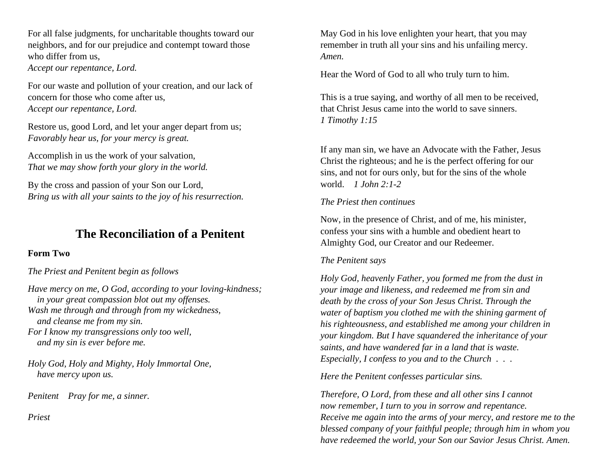For all false judgments, for uncharitable thoughts toward our neighbors, and for our prejudice and contempt toward those who differ from us, *Accept our repentance, Lord.*

For our waste and pollution of your creation, and our lack of concern for those who come after us, *Accept our repentance, Lord.*

Restore us, good Lord, and let your anger depart from us; *Favorably hear us, for your mercy is great.*

Accomplish in us the work of your salvation, *That we may show forth your glory in the world.*

By the cross and passion of your Son our Lord, *Bring us with all your saints to the joy of his resurrection.*

### **The Reconciliation of a Penitent**

#### **Form Two**

*The Priest and Penitent begin as follows*

*Have mercy on me, O God, according to your loving-kindness; in your great compassion blot out my offenses. Wash me through and through from my wickedness, and cleanse me from my sin. For I know my transgressions only too well, and my sin is ever before me.*

*Holy God, Holy and Mighty, Holy Immortal One, have mercy upon us.*

*Penitent Pray for me, a sinner.*

*Priest*

May God in his love enlighten your heart, that you may remember in truth all your sins and his unfailing mercy. *Amen.*

Hear the Word of God to all who truly turn to him.

This is a true saying, and worthy of all men to be received, that Christ Jesus came into the world to save sinners. *1 Timothy 1:15*

If any man sin, we have an Advocate with the Father, Jesus Christ the righteous; and he is the perfect offering for our sins, and not for ours only, but for the sins of the whole world. *1 John 2:1-2*

#### *The Priest then continues*

Now, in the presence of Christ, and of me, his minister, confess your sins with a humble and obedient heart to Almighty God, our Creator and our Redeemer.

#### *The Penitent says*

*Holy God, heavenly Father, you formed me from the dust in your image and likeness, and redeemed me from sin and death by the cross of your Son Jesus Christ. Through the water of baptism you clothed me with the shining garment of his righteousness, and established me among your children in your kingdom. But I have squandered the inheritance of your saints, and have wandered far in a land that is waste. Especially, I confess to you and to the Church . . .*

*Here the Penitent confesses particular sins.*

*Therefore, O Lord, from these and all other sins I cannot now remember, I turn to you in sorrow and repentance. Receive me again into the arms of your mercy, and restore me to the blessed company of your faithful people; through him in whom you have redeemed the world, your Son our Savior Jesus Christ. Amen.*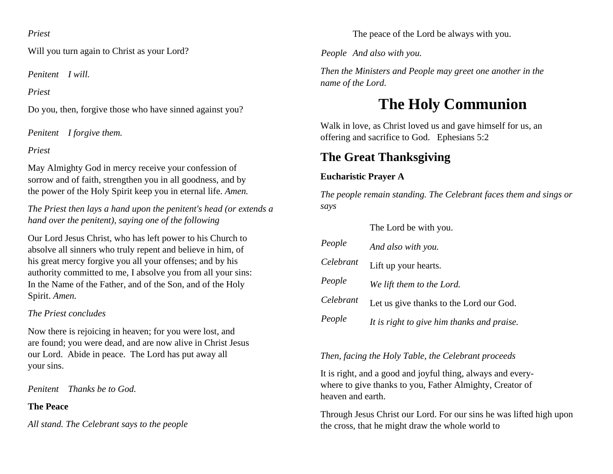#### *Priest*

Will you turn again to Christ as your Lord?

*Penitent I will.*

#### *Priest*

Do you, then, forgive those who have sinned against you?

*Penitent I forgive them.*

#### *Priest*

May Almighty God in mercy receive your confession of sorrow and of faith, strengthen you in all goodness, and by the power of the Holy Spirit keep you in eternal life. *Amen.*

#### *The Priest then lays a hand upon the penitent's head (or extends a hand over the penitent), saying one of the following*

Our Lord Jesus Christ, who has left power to his Church to absolve all sinners who truly repent and believe in him, of his great mercy forgive you all your offenses; and by his authority committed to me, I absolve you from all your sins: In the Name of the Father, and of the Son, and of the Holy Spirit. *Amen.*

#### *The Priest concludes*

Now there is rejoicing in heaven; for you were lost, and are found; you were dead, and are now alive in Christ Jesus our Lord. Abide in peace. The Lord has put away all your sins.

*Penitent Thanks be to God.*

#### **The Peace**

*All stand. The Celebrant says to the people*

The peace of the Lord be always with you.

*People And also with you.*

*Then the Ministers and People may greet one another in the name of the Lord.*

# **The Holy Communion**

Walk in love, as Christ loved us and gave himself for us, an offering and sacrifice to God. Ephesians 5:2

### **The Great Thanksgiving**

#### **Eucharistic Prayer A**

*The people remain standing. The Celebrant faces them and sings or says*

The Lord be with you.

| People    | And also with you.                         |
|-----------|--------------------------------------------|
| Celebrant | Lift up your hearts.                       |
| People    | We lift them to the Lord.                  |
| Celebrant | Let us give thanks to the Lord our God.    |
| People    | It is right to give him thanks and praise. |

#### *Then, facing the Holy Table, the Celebrant proceeds*

It is right, and a good and joyful thing, always and everywhere to give thanks to you, Father Almighty, Creator of heaven and earth.

Through Jesus Christ our Lord. For our sins he was lifted high upon the cross, that he might draw the whole world to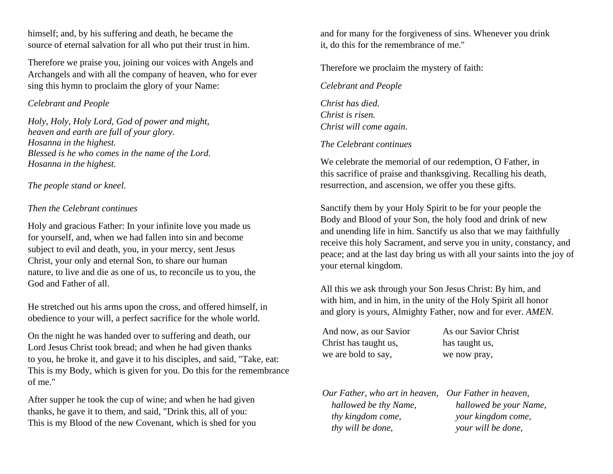himself; and, by his suffering and death, he became the source of eternal salvation for all who put their trust in him.

Therefore we praise you, joining our voices with Angels and Archangels and with all the company of heaven, who for ever sing this hymn to proclaim the glory of your Name:

#### *Celebrant and People*

*Holy, Holy, Holy Lord, God of power and might, heaven and earth are full of your glory. Hosanna in the highest. Blessed is he who comes in the name of the Lord. Hosanna in the highest.*

#### *The people stand or kneel.*

#### *Then the Celebrant continues*

Holy and gracious Father: In your infinite love you made us for yourself, and, when we had fallen into sin and become subject to evil and death, you, in your mercy, sent Jesus Christ, your only and eternal Son, to share our human nature, to live and die as one of us, to reconcile us to you, the God and Father of all.

He stretched out his arms upon the cross, and offered himself, in obedience to your will, a perfect sacrifice for the whole world.

On the night he was handed over to suffering and death, our Lord Jesus Christ took bread; and when he had given thanks to you, he broke it, and gave it to his disciples, and said, "Take, eat: This is my Body, which is given for you. Do this for the remembrance of me."

After supper he took the cup of wine; and when he had given thanks, he gave it to them, and said, "Drink this, all of you: This is my Blood of the new Covenant, which is shed for you and for many for the forgiveness of sins. Whenever you drink it, do this for the remembrance of me."

Therefore we proclaim the mystery of faith:

*Celebrant and People*

*Christ has died. Christ is risen. Christ will come again.*

#### *The Celebrant continues*

We celebrate the memorial of our redemption, O Father, in this sacrifice of praise and thanksgiving. Recalling his death, resurrection, and ascension, we offer you these gifts.

Sanctify them by your Holy Spirit to be for your people the Body and Blood of your Son, the holy food and drink of new and unending life in him. Sanctify us also that we may faithfully receive this holy Sacrament, and serve you in unity, constancy, and peace; and at the last day bring us with all your saints into the joy of your eternal kingdom.

All this we ask through your Son Jesus Christ: By him, and with him, and in him, in the unity of the Holy Spirit all honor and glory is yours, Almighty Father, now and for ever. *AMEN.*

And now, as our Savior Christ has taught us, we are bold to say,

 As our Savior Christ has taught us, we now pray,

*Our Father, who art in heaven, hallowed be thy Name, thy kingdom come, thy will be done,*

*Our Father in heaven, hallowed be your Name, your kingdom come, your will be done,*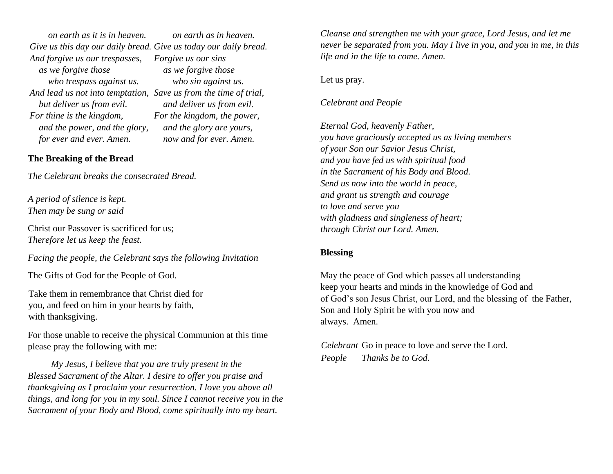*on earth as it is in heaven. Give us this day our daily bread. Give us today our daily bread. And forgive us our trespasses, as we forgive those who trespass against us. And lead us not into temptation, Save us from the time of trial, but deliver us from evil. For thine is the kingdom, and the power, and the glory, for ever and ever. Amen.*

 *on earth as in heaven. Forgive us our sins as we forgive those who sin against us. and deliver us from evil. For the kingdom, the power, and the glory are yours, now and for ever. Amen.*

#### **The Breaking of the Bread**

*The Celebrant breaks the consecrated Bread.*

*A period of silence is kept. Then may be sung or said*

Christ our Passover is sacrificed for us; *Therefore let us keep the feast.*

*Facing the people, the Celebrant says the following Invitation*

The Gifts of God for the People of God.

Take them in remembrance that Christ died for you, and feed on him in your hearts by faith, with thanksgiving.

For those unable to receive the physical Communion at this time please pray the following with me:

 *My Jesus, I believe that you are truly present in the Blessed Sacrament of the Altar. I desire to offer you praise and thanksgiving as I proclaim your resurrection. I love you above all things, and long for you in my soul. Since I cannot receive you in the Sacrament of your Body and Blood, come spiritually into my heart.* 

*Cleanse and strengthen me with your grace, Lord Jesus, and let me never be separated from you. May I live in you, and you in me, in this life and in the life to come. Amen.*

Let us pray.

*Celebrant and People*

*Eternal God, heavenly Father, you have graciously accepted us as living members of your Son our Savior Jesus Christ, and you have fed us with spiritual food in the Sacrament of his Body and Blood. Send us now into the world in peace, and grant us strength and courage to love and serve you with gladness and singleness of heart; through Christ our Lord. Amen.*

#### **Blessing**

May the peace of God which passes all understanding keep your hearts and minds in the knowledge of God and of God's son Jesus Christ, our Lord, and the blessing of the Father, Son and Holy Spirit be with you now and always. Amen.

*Celebrant* Go in peace to love and serve the Lord. *People Thanks be to God.*